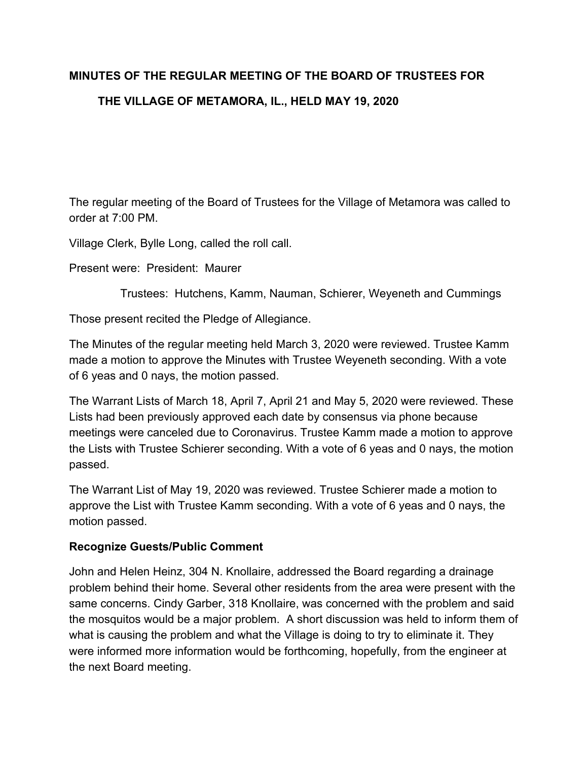# **MINUTES OF THE REGULAR MEETING OF THE BOARD OF TRUSTEES FOR THE VILLAGE OF METAMORA, IL., HELD MAY 19, 2020**

The regular meeting of the Board of Trustees for the Village of Metamora was called to order at 7:00 PM.

Village Clerk, Bylle Long, called the roll call.

Present were: President: Maurer

Trustees: Hutchens, Kamm, Nauman, Schierer, Weyeneth and Cummings

Those present recited the Pledge of Allegiance.

The Minutes of the regular meeting held March 3, 2020 were reviewed. Trustee Kamm made a motion to approve the Minutes with Trustee Weyeneth seconding. With a vote of 6 yeas and 0 nays, the motion passed.

The Warrant Lists of March 18, April 7, April 21 and May 5, 2020 were reviewed. These Lists had been previously approved each date by consensus via phone because meetings were canceled due to Coronavirus. Trustee Kamm made a motion to approve the Lists with Trustee Schierer seconding. With a vote of 6 yeas and 0 nays, the motion passed.

The Warrant List of May 19, 2020 was reviewed. Trustee Schierer made a motion to approve the List with Trustee Kamm seconding. With a vote of 6 yeas and 0 nays, the motion passed.

## **Recognize Guests/Public Comment**

John and Helen Heinz, 304 N. Knollaire, addressed the Board regarding a drainage problem behind their home. Several other residents from the area were present with the same concerns. Cindy Garber, 318 Knollaire, was concerned with the problem and said the mosquitos would be a major problem. A short discussion was held to inform them of what is causing the problem and what the Village is doing to try to eliminate it. They were informed more information would be forthcoming, hopefully, from the engineer at the next Board meeting.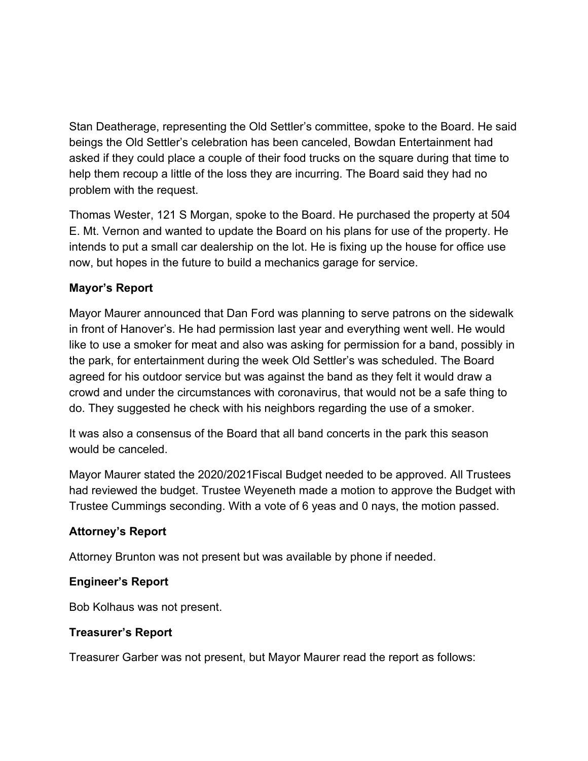Stan Deatherage, representing the Old Settler's committee, spoke to the Board. He said beings the Old Settler's celebration has been canceled, Bowdan Entertainment had asked if they could place a couple of their food trucks on the square during that time to help them recoup a little of the loss they are incurring. The Board said they had no problem with the request.

Thomas Wester, 121 S Morgan, spoke to the Board. He purchased the property at 504 E. Mt. Vernon and wanted to update the Board on his plans for use of the property. He intends to put a small car dealership on the lot. He is fixing up the house for office use now, but hopes in the future to build a mechanics garage for service.

# **Mayor's Report**

Mayor Maurer announced that Dan Ford was planning to serve patrons on the sidewalk in front of Hanover's. He had permission last year and everything went well. He would like to use a smoker for meat and also was asking for permission for a band, possibly in the park, for entertainment during the week Old Settler's was scheduled. The Board agreed for his outdoor service but was against the band as they felt it would draw a crowd and under the circumstances with coronavirus, that would not be a safe thing to do. They suggested he check with his neighbors regarding the use of a smoker.

It was also a consensus of the Board that all band concerts in the park this season would be canceled.

Mayor Maurer stated the 2020/2021Fiscal Budget needed to be approved. All Trustees had reviewed the budget. Trustee Weyeneth made a motion to approve the Budget with Trustee Cummings seconding. With a vote of 6 yeas and 0 nays, the motion passed.

# **Attorney's Report**

Attorney Brunton was not present but was available by phone if needed.

# **Engineer's Report**

Bob Kolhaus was not present.

# **Treasurer's Report**

Treasurer Garber was not present, but Mayor Maurer read the report as follows: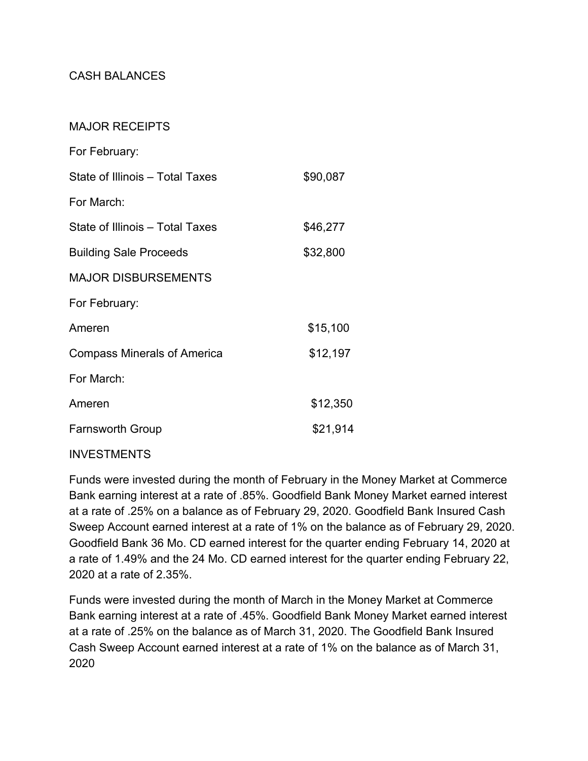# CASH BALANCES

## MAJOR RECEIPTS

| For February:                      |          |
|------------------------------------|----------|
| State of Illinois – Total Taxes    | \$90,087 |
| For March:                         |          |
| State of Illinois - Total Taxes    | \$46,277 |
| <b>Building Sale Proceeds</b>      | \$32,800 |
| <b>MAJOR DISBURSEMENTS</b>         |          |
| For February:                      |          |
| Ameren                             | \$15,100 |
| <b>Compass Minerals of America</b> | \$12,197 |
| For March:                         |          |
| Ameren                             | \$12,350 |
| <b>Farnsworth Group</b>            | \$21,914 |
|                                    |          |

## INVESTMENTS

Funds were invested during the month of February in the Money Market at Commerce Bank earning interest at a rate of .85%. Goodfield Bank Money Market earned interest at a rate of .25% on a balance as of February 29, 2020. Goodfield Bank Insured Cash Sweep Account earned interest at a rate of 1% on the balance as of February 29, 2020. Goodfield Bank 36 Mo. CD earned interest for the quarter ending February 14, 2020 at a rate of 1.49% and the 24 Mo. CD earned interest for the quarter ending February 22, 2020 at a rate of 2.35%.

Funds were invested during the month of March in the Money Market at Commerce Bank earning interest at a rate of .45%. Goodfield Bank Money Market earned interest at a rate of .25% on the balance as of March 31, 2020. The Goodfield Bank Insured Cash Sweep Account earned interest at a rate of 1% on the balance as of March 31, 2020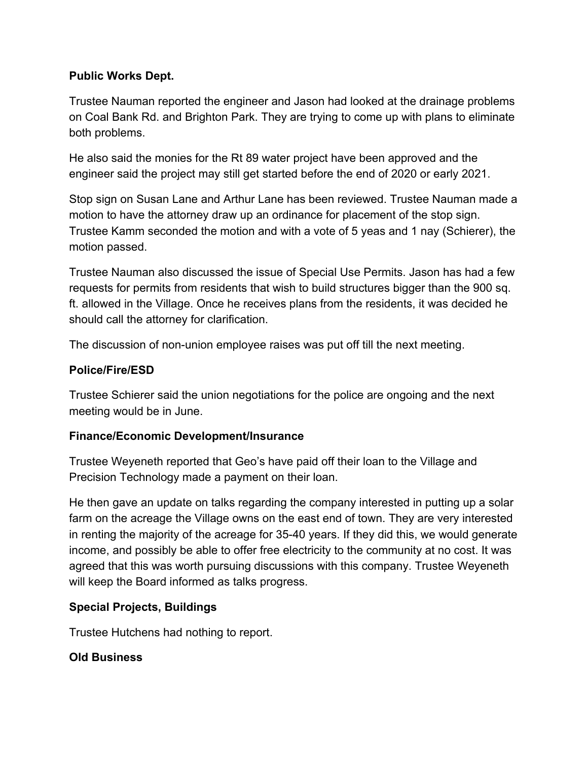# **Public Works Dept.**

Trustee Nauman reported the engineer and Jason had looked at the drainage problems on Coal Bank Rd. and Brighton Park. They are trying to come up with plans to eliminate both problems.

He also said the monies for the Rt 89 water project have been approved and the engineer said the project may still get started before the end of 2020 or early 2021.

Stop sign on Susan Lane and Arthur Lane has been reviewed. Trustee Nauman made a motion to have the attorney draw up an ordinance for placement of the stop sign. Trustee Kamm seconded the motion and with a vote of 5 yeas and 1 nay (Schierer), the motion passed.

Trustee Nauman also discussed the issue of Special Use Permits. Jason has had a few requests for permits from residents that wish to build structures bigger than the 900 sq. ft. allowed in the Village. Once he receives plans from the residents, it was decided he should call the attorney for clarification.

The discussion of non-union employee raises was put off till the next meeting.

# **Police/Fire/ESD**

Trustee Schierer said the union negotiations for the police are ongoing and the next meeting would be in June.

# **Finance/Economic Development/Insurance**

Trustee Weyeneth reported that Geo's have paid off their loan to the Village and Precision Technology made a payment on their loan.

He then gave an update on talks regarding the company interested in putting up a solar farm on the acreage the Village owns on the east end of town. They are very interested in renting the majority of the acreage for 35-40 years. If they did this, we would generate income, and possibly be able to offer free electricity to the community at no cost. It was agreed that this was worth pursuing discussions with this company. Trustee Weyeneth will keep the Board informed as talks progress.

# **Special Projects, Buildings**

Trustee Hutchens had nothing to report.

# **Old Business**